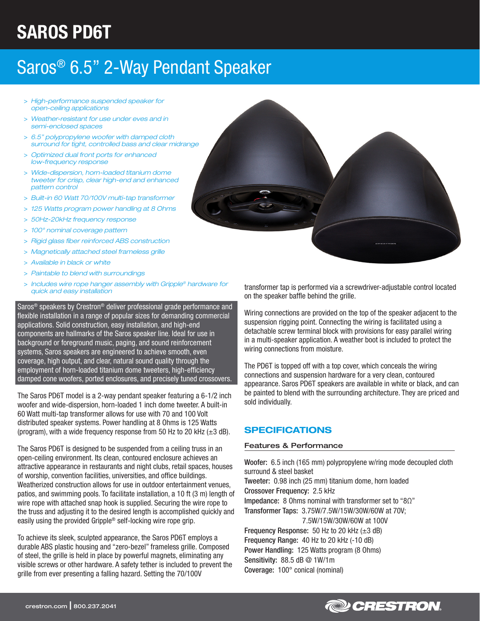# SAROS PD6T

## Saros® 6.5" 2-Way Pendant Speaker

- > *High-performance suspended speaker for open-ceiling applications*
- > *Weather-resistant for use under eves and in semi-enclosed spaces*
- > *6.5" polypropylene woofer with damped cloth surround for tight, controlled bass and clear midrange*
- > *Optimized dual front ports for enhanced low-frequency response*
- > *Wide-dispersion, horn-loaded titanium dome tweeter for crisp, clear high-end and enhanced pattern control*
- > *Built-in 60 Watt 70/100V multi-tap transformer*
- > *125 Watts program power handling at 8 Ohms*
- > *50Hz-20kHz frequency response*
- > *100° nominal coverage pattern*
- > *Rigid glass fiber reinforced ABS construction*
- > *Magnetically attached steel frameless grille*
- > *Available in black or white*
- > *Paintable to blend with surroundings*
- > *Includes wire rope hanger assembly with Gripple® hardware for quick and easy installation*

Saros® speakers by Crestron® deliver professional grade performance and flexible installation in a range of popular sizes for demanding commercial applications. Solid construction, easy installation, and high-end components are hallmarks of the Saros speaker line. Ideal for use in background or foreground music, paging, and sound reinforcement systems, Saros speakers are engineered to achieve smooth, even coverage, high output, and clear, natural sound quality through the employment of horn-loaded titanium dome tweeters, high-efficiency damped cone woofers, ported enclosures, and precisely tuned crossovers.

The Saros PD6T model is a 2-way pendant speaker featuring a 6-1/2 inch woofer and wide-dispersion, horn-loaded 1 inch dome tweeter. A built-in 60 Watt multi-tap transformer allows for use with 70 and 100 Volt distributed speaker systems. Power handling at 8 Ohms is 125 Watts (program), with a wide frequency response from 50 Hz to 20 kHz  $(\pm 3$  dB).

The Saros PD6T is designed to be suspended from a ceiling truss in an open-ceiling environment. Its clean, contoured enclosure achieves an attractive appearance in restaurants and night clubs, retail spaces, houses of worship, convention facilities, universities, and office buildings. Weatherized construction allows for use in outdoor entertainment venues, patios, and swimming pools. To facilitate installation, a 10 ft (3 m) length of wire rope with attached snap hook is supplied. Securing the wire rope to the truss and adjusting it to the desired length is accomplished quickly and easily using the provided Gripple® self-locking wire rope grip.

To achieve its sleek, sculpted appearance, the Saros PD6T employs a durable ABS plastic housing and "zero-bezel" frameless grille. Composed of steel, the grille is held in place by powerful magnets, eliminating any visible screws or other hardware. A safety tether is included to prevent the grille from ever presenting a falling hazard. Setting the 70/100V



transformer tap is performed via a screwdriver-adjustable control located on the speaker baffle behind the grille.

Wiring connections are provided on the top of the speaker adjacent to the suspension rigging point. Connecting the wiring is facilitated using a detachable screw terminal block with provisions for easy parallel wiring in a multi-speaker application. A weather boot is included to protect the wiring connections from moisture.

The PD6T is topped off with a top cover, which conceals the wiring connections and suspension hardware for a very clean, contoured appearance. Saros PD6T speakers are available in white or black, and can be painted to blend with the surrounding architecture. They are priced and sold individually.

### SPECIFICATIONS

#### Features & Performance

Woofer: 6.5 inch (165 mm) polypropylene w/ring mode decoupled cloth surround & steel basket Tweeter: 0.98 inch (25 mm) titanium dome, horn loaded Crossover Frequency: 2.5 kHz Impedance: 8 Ohms nominal with transformer set to "8Ω" Transformer Taps: 3.75W/7.5W/15W/30W/60W at 70V; 7.5W/15W/30W/60W at 100V Frequency Response: 50 Hz to 20 kHz (±3 dB) Frequency Range: 40 Hz to 20 kHz (-10 dB) Power Handling: 125 Watts program (8 Ohms) Sensitivity: 88.5 dB @ 1W/1m

Coverage: 100° conical (nominal)

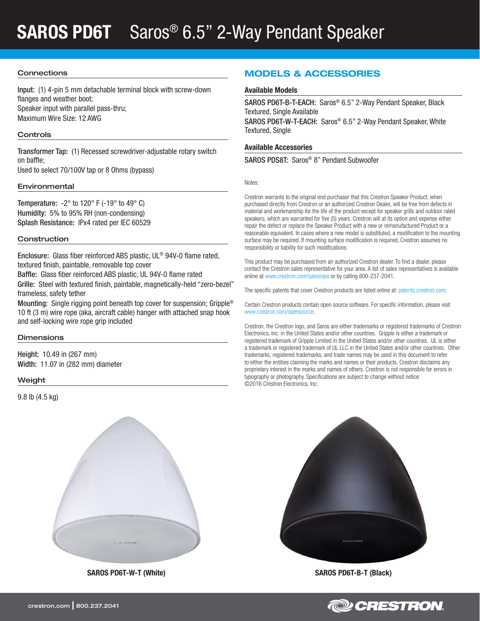## SAROS PD6T Saros<sup>®</sup> 6.5" 2-Way Pendant Speaker

#### **Connections**

Input: (1) 4-pin 5 mm detachable terminal block with screw-down flanges and weather boot; Speaker input with parallel pass-thru; Maximum Wire Size: 12 AWG

#### **Controls**

Transformer Tap: (1) Recessed screwdriver-adjustable rotary switch on baffle;

Used to select 70/100V tap or 8 Ohms (bypass)

#### Environmental

Temperature:  $-2^\circ$  to 120° F ( $-19^\circ$  to 49° C) Humidity: 5% to 95% RH (non-condensing) Splash Resistance: IPx4 rated per IEC 60529

#### **Construction**

Enclosure: Glass fiber reinforced ABS plastic, UL® 94V-0 flame rated, textured finish, paintable, removable top cover

Baffle: Glass fiber reinforced ABS plastic, UL 94V-0 flame rated

Grille: Steel with textured finish, paintable, magnetically-held "zero-bezel" frameless, safety tether

Mounting: Single rigging point beneath top cover for suspension; Gripple® 10 ft (3 m) wire rope (aka, aircraft cable) hanger with attached snap hook and self-locking wire rope grip included

#### **Dimensions**

Height: 10.49 in (267 mm) Width: 11.07 in (282 mm) diameter

#### Weight

9.8 lb (4.5 kg)



SAROS PD6T-W-T (White) SAROS PD6T-B-T (Black)

### MODELS & ACCESSORIES

#### Available Models

SAROS PD6T-B-T-EACH: Saros® 6.5" 2-Way Pendant Speaker, Black Textured, Single Available

SAROS PD6T-W-T-EACH: Saros® 6.5" 2-Way Pendant Speaker, White Textured, Single

#### Available Accessories

SAROS PDS8T: Saros® 8" Pendant Subwoofer

Notes:

Crestron warrants to the original end purchaser that this Crestron Speaker Product, when purchased directly from Crestron or an authorized Crestron Dealer, will be free from defects in material and workmanship for the life of the product except for speaker grills and outdoor rated speakers, which are warranted for five (5) years. Crestron will at its option and expense either repair the defect or replace the Speaker Product with a new or remanufactured Product or a reasonable equivalent. In cases where a new model is substituted, a modification to the mounting surface may be required. If mounting surface modification is required, Crestron assumes no responsibility or liability for such modifications.

This product may be purchased from an authorized Crestron dealer. To find a dealer, please contact the Crestron sales representative for your area. A list of sales representatives is available online at [www.crestron.com/salesreps](http://www.crestron.com/salesreps) or by calling 800-237-2041.

The specific patents that cover Crestron products are listed online at: [patents.crestron.com.](http://patents.crestron.com)

Certain Crestron products contain open source software. For specific information, please visit www.crestron.com/opensource.

Crestron, the Crestron logo, and Saros are either trademarks or registered trademarks of Crestron Electronics, Inc. in the United States and/or other countries. Gripple is either a trademark or registered trademark of Gripple Limited in the United States and/or other countries. UL is either a trademark or registered trademark of UL LLC in the United States and/or other countries. Other trademarks, registered trademarks, and trade names may be used in this document to refer to either the entities claiming the marks and names or their products. Crestron disclaims any proprietary interest in the marks and names of others. Crestron is not responsible for errors in typography or photography. Specifications are subject to change without notice. ©2016 Crestron Electronics, Inc.